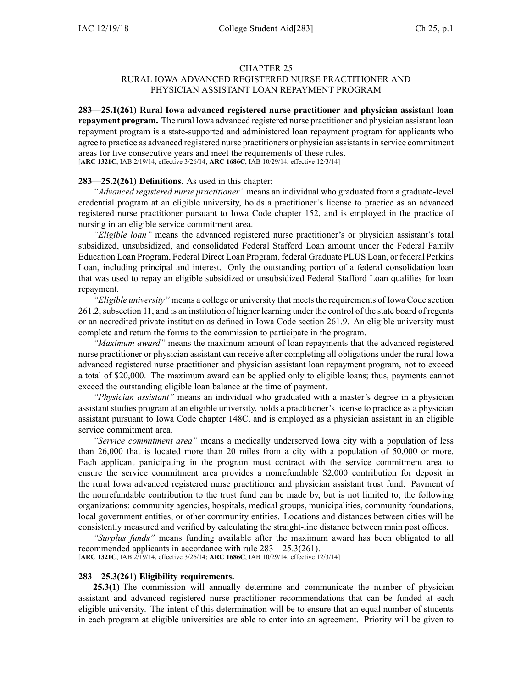### CHAPTER 25

## RURAL IOWA ADVANCED REGISTERED NURSE PRACTITIONER AND PHYSICIAN ASSISTANT LOAN REPAYMENT PROGRAM

**283—25.1(261) Rural Iowa advanced registered nurse practitioner and physician assistant loan repaymen<sup>t</sup> program.** The rural Iowa advanced registered nurse practitioner and physician assistant loan repaymen<sup>t</sup> program is <sup>a</sup> state-supported and administered loan repaymen<sup>t</sup> program for applicants who agree to practice as advanced registered nurse practitioners or physician assistantsin service commitment areas for five consecutive years and meet the requirements of these rules. [**ARC [1321C](https://www.legis.iowa.gov/docs/aco/arc/1321C.pdf)**, IAB 2/19/14, effective 3/26/14; **ARC [1686C](https://www.legis.iowa.gov/docs/aco/arc/1686C.pdf)**, IAB 10/29/14, effective 12/3/14]

#### **283—25.2(261) Definitions.** As used in this chapter:

*"Advanced registered nurse practitioner"* means an individual who graduated from <sup>a</sup> graduate-level credential program at an eligible university, holds <sup>a</sup> practitioner's license to practice as an advanced registered nurse practitioner pursuan<sup>t</sup> to Iowa Code chapter [152](https://www.legis.iowa.gov/docs/ico/chapter/152.pdf), and is employed in the practice of nursing in an eligible service commitment area.

*"Eligible loan"* means the advanced registered nurse practitioner's or physician assistant's total subsidized, unsubsidized, and consolidated Federal Stafford Loan amount under the Federal Family Education Loan Program, Federal Direct Loan Program, federal Graduate PLUS Loan, or federal Perkins Loan, including principal and interest. Only the outstanding portion of <sup>a</sup> federal consolidation loan that was used to repay an eligible subsidized or unsubsidized Federal Stafford Loan qualifies for loan repayment.

*"Eligible university"* means a college or university that meets the requirements of Iowa Code section 261.2, [subsection](https://www.legis.iowa.gov/docs/ico/section/261.2.pdf) 11, and is an institution of higher learning under the control of the state board of regents or an accredited private institution as defined in Iowa Code section [261.9](https://www.legis.iowa.gov/docs/ico/section/261.9.pdf). An eligible university must complete and return the forms to the commission to participate in the program.

*"Maximum award"* means the maximum amount of loan repayments that the advanced registered nurse practitioner or physician assistant can receive after completing all obligations under the rural Iowa advanced registered nurse practitioner and physician assistant loan repaymen<sup>t</sup> program, not to exceed <sup>a</sup> total of \$20,000. The maximum award can be applied only to eligible loans; thus, payments cannot exceed the outstanding eligible loan balance at the time of payment.

*"Physician assistant"* means an individual who graduated with <sup>a</sup> master's degree in <sup>a</sup> physician assistant studies program at an eligible university, holds <sup>a</sup> practitioner's license to practice as <sup>a</sup> physician assistant pursuan<sup>t</sup> to Iowa Code chapter [148C](https://www.legis.iowa.gov/docs/ico/chapter/148C.pdf), and is employed as <sup>a</sup> physician assistant in an eligible service commitment area.

*"Service commitment area"* means <sup>a</sup> medically underserved Iowa city with <sup>a</sup> population of less than 26,000 that is located more than 20 miles from <sup>a</sup> city with <sup>a</sup> population of 50,000 or more. Each applicant participating in the program must contract with the service commitment area to ensure the service commitment area provides <sup>a</sup> nonrefundable \$2,000 contribution for deposit in the rural Iowa advanced registered nurse practitioner and physician assistant trust fund. Payment of the nonrefundable contribution to the trust fund can be made by, but is not limited to, the following organizations: community agencies, hospitals, medical groups, municipalities, community foundations, local governmen<sup>t</sup> entities, or other community entities. Locations and distances between cities will be consistently measured and verified by calculating the straight-line distance between main pos<sup>t</sup> offices.

*"Surplus funds"* means funding available after the maximum award has been obligated to all recommended applicants in accordance with rule [283—25.3\(](https://www.legis.iowa.gov/docs/iac/rule/283.25.3.pdf)261).

[**ARC [1321C](https://www.legis.iowa.gov/docs/aco/arc/1321C.pdf)**, IAB 2/19/14, effective 3/26/14; **ARC [1686C](https://www.legis.iowa.gov/docs/aco/arc/1686C.pdf)**, IAB 10/29/14, effective 12/3/14]

#### **283—25.3(261) Eligibility requirements.**

**25.3(1)** The commission will annually determine and communicate the number of physician assistant and advanced registered nurse practitioner recommendations that can be funded at each eligible university. The intent of this determination will be to ensure that an equal number of students in each program at eligible universities are able to enter into an agreement. Priority will be given to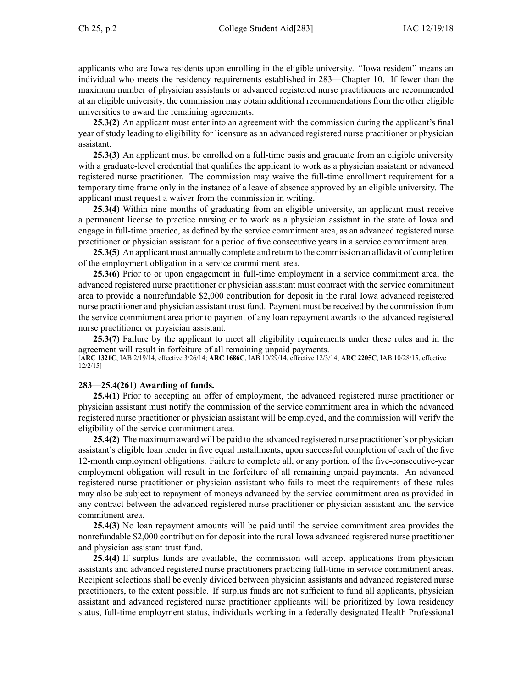applicants who are Iowa residents upon enrolling in the eligible university. "Iowa resident" means an individual who meets the residency requirements established in [283—Chapter](https://www.legis.iowa.gov/docs/iac/chapter/283.10.pdf) 10. If fewer than the maximum number of physician assistants or advanced registered nurse practitioners are recommended at an eligible university, the commission may obtain additional recommendations from the other eligible universities to award the remaining agreements.

**25.3(2)** An applicant must enter into an agreemen<sup>t</sup> with the commission during the applicant's final year of study leading to eligibility for licensure as an advanced registered nurse practitioner or physician assistant.

**25.3(3)** An applicant must be enrolled on <sup>a</sup> full-time basis and graduate from an eligible university with <sup>a</sup> graduate-level credential that qualifies the applicant to work as <sup>a</sup> physician assistant or advanced registered nurse practitioner. The commission may waive the full-time enrollment requirement for <sup>a</sup> temporary time frame only in the instance of <sup>a</sup> leave of absence approved by an eligible university. The applicant must reques<sup>t</sup> <sup>a</sup> waiver from the commission in writing.

**25.3(4)** Within nine months of graduating from an eligible university, an applicant must receive <sup>a</sup> permanen<sup>t</sup> license to practice nursing or to work as <sup>a</sup> physician assistant in the state of Iowa and engage in full-time practice, as defined by the service commitment area, as an advanced registered nurse practitioner or physician assistant for <sup>a</sup> period of five consecutive years in <sup>a</sup> service commitment area.

**25.3(5)** An applicant must annually complete and return to the commission an affidavit of completion of the employment obligation in <sup>a</sup> service commitment area.

**25.3(6)** Prior to or upon engagemen<sup>t</sup> in full-time employment in <sup>a</sup> service commitment area, the advanced registered nurse practitioner or physician assistant must contract with the service commitment area to provide <sup>a</sup> nonrefundable \$2,000 contribution for deposit in the rural Iowa advanced registered nurse practitioner and physician assistant trust fund. Payment must be received by the commission from the service commitment area prior to paymen<sup>t</sup> of any loan repaymen<sup>t</sup> awards to the advanced registered nurse practitioner or physician assistant.

**25.3(7)** Failure by the applicant to meet all eligibility requirements under these rules and in the agreemen<sup>t</sup> will result in forfeiture of all remaining unpaid payments. [**ARC [1321C](https://www.legis.iowa.gov/docs/aco/arc/1321C.pdf)**, IAB 2/19/14, effective 3/26/14; **ARC [1686C](https://www.legis.iowa.gov/docs/aco/arc/1686C.pdf)**, IAB 10/29/14, effective 12/3/14; **ARC [2205C](https://www.legis.iowa.gov/docs/aco/arc/2205C.pdf)**, IAB 10/28/15, effective 12/2/15]

# **283—25.4(261) Awarding of funds.**

**25.4(1)** Prior to accepting an offer of employment, the advanced registered nurse practitioner or physician assistant must notify the commission of the service commitment area in which the advanced registered nurse practitioner or physician assistant will be employed, and the commission will verify the eligibility of the service commitment area.

**25.4(2)** The maximum award will be paid to the advanced registered nurse practitioner's or physician assistant's eligible loan lender in five equal installments, upon successful completion of each of the five 12-month employment obligations. Failure to complete all, or any portion, of the five-consecutive-year employment obligation will result in the forfeiture of all remaining unpaid payments. An advanced registered nurse practitioner or physician assistant who fails to meet the requirements of these rules may also be subject to repaymen<sup>t</sup> of moneys advanced by the service commitment area as provided in any contract between the advanced registered nurse practitioner or physician assistant and the service commitment area.

**25.4(3)** No loan repaymen<sup>t</sup> amounts will be paid until the service commitment area provides the nonrefundable \$2,000 contribution for deposit into the rural Iowa advanced registered nurse practitioner and physician assistant trust fund.

**25.4(4)** If surplus funds are available, the commission will accep<sup>t</sup> applications from physician assistants and advanced registered nurse practitioners practicing full-time in service commitment areas. Recipient selections shall be evenly divided between physician assistants and advanced registered nurse practitioners, to the extent possible. If surplus funds are not sufficient to fund all applicants, physician assistant and advanced registered nurse practitioner applicants will be prioritized by Iowa residency status, full-time employment status, individuals working in <sup>a</sup> federally designated Health Professional